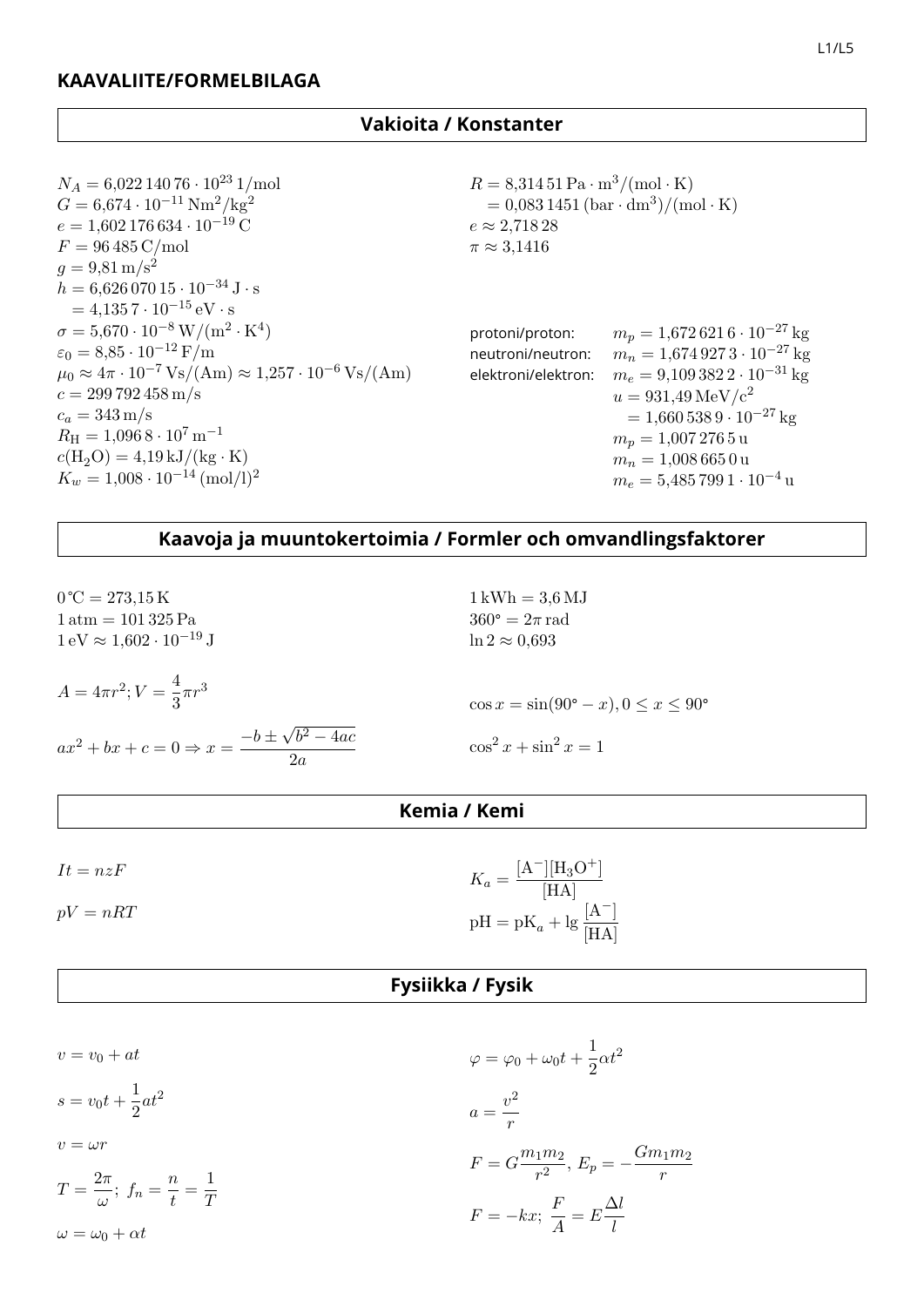| $N_A = 6{,}022\,140\,76\cdot10^{23}\,1/\text{mol}$                                           | $R = 8,31451 \text{ Pa} \cdot \text{m}^3/(\text{mol} \cdot \text{K})$<br>$= 0.0831451 \, (\text{bar} \cdot \text{dm}^3) / (\text{mol} \cdot \text{K})$ |                                                   |  |  |  |  |  |  |
|----------------------------------------------------------------------------------------------|--------------------------------------------------------------------------------------------------------------------------------------------------------|---------------------------------------------------|--|--|--|--|--|--|
| $G = 6.674 \cdot 10^{-11} \text{ Nm}^2/\text{kg}^2$                                          |                                                                                                                                                        |                                                   |  |  |  |  |  |  |
| $e = 1,602\,176\,634\cdot 10^{-19}\,\mathrm{C}$                                              | $e \approx 2,71828$                                                                                                                                    |                                                   |  |  |  |  |  |  |
| $F = 96\,485\,\mathrm{C/mol}$                                                                | $\pi \approx 3,1416$                                                                                                                                   |                                                   |  |  |  |  |  |  |
| $q = 9.81 \,\mathrm{m/s^2}$                                                                  |                                                                                                                                                        |                                                   |  |  |  |  |  |  |
| $h = 6{,}626\,070\,15\cdot10^{-34}\,\mathrm{J}\cdot\mathrm{s}$                               |                                                                                                                                                        |                                                   |  |  |  |  |  |  |
| $=4.1357\cdot10^{-15}$ eV $\cdot$ s                                                          |                                                                                                                                                        |                                                   |  |  |  |  |  |  |
| $\sigma = 5{,}670 \cdot 10^{-8} \,\mathrm{W/(m^2 \cdot K^4)}$                                | protoni/proton:                                                                                                                                        | $m_p = 1{,}6726216 \cdot 10^{-27}$ kg             |  |  |  |  |  |  |
| $\varepsilon_0 = 8.85 \cdot 10^{-12} \text{ F/m}$                                            | neutroni/neutron:                                                                                                                                      | $m_n = 1{,}674\,927\,3\cdot10^{-27}\,\mathrm{kg}$ |  |  |  |  |  |  |
| $\mu_0 \approx 4\pi \cdot 10^{-7} \text{Vs/(Am)} \approx 1.257 \cdot 10^{-6} \text{Vs/(Am)}$ | elektroni/elektron:                                                                                                                                    | $m_e = 9,1093822 \cdot 10^{-31}$ kg               |  |  |  |  |  |  |
| $c = 299\,792\,458\,\mathrm{m/s}$                                                            |                                                                                                                                                        | $u = 931,49 \,\text{MeV}/c^2$                     |  |  |  |  |  |  |
| $c_a = 343 \,\mathrm{m/s}$                                                                   |                                                                                                                                                        | $= 1,6605389 \cdot 10^{-27}$ kg                   |  |  |  |  |  |  |
| $R_{\rm H} = 1,0968 \cdot 10^7 \,\rm m^{-1}$                                                 |                                                                                                                                                        | $m_p = 1,0072765$ u                               |  |  |  |  |  |  |
| $c(H_2O) = 4.19 \,\mathrm{kJ/(kg \cdot K)}$                                                  |                                                                                                                                                        | $m_n = 1,0086650u$                                |  |  |  |  |  |  |
| $K_w = 1,008 \cdot 10^{-14}$ (mol/l) <sup>2</sup>                                            |                                                                                                                                                        | $m_e = 5{,}485\,799\,1\cdot10^{-4}$ u             |  |  |  |  |  |  |

## **Kaavoja ja muuntokertoimia / Formler och omvandlingsfaktorer**

| $0^{\circ}C = 273,15 K$<br>$1 \text{ atm} = 101325 \text{ Pa}$<br>$1 \text{ eV} \approx 1,602 \cdot 10^{-19} \text{ J}$ | $1 \,\mathrm{kWh} = 3.6 \,\mathrm{MJ}$<br>$360^{\circ} = 2\pi$ rad<br>$\ln 2 \approx 0.693$ |
|-------------------------------------------------------------------------------------------------------------------------|---------------------------------------------------------------------------------------------|
| $A = 4\pi r^2; V = \frac{4}{3}\pi r^3$                                                                                  | $\cos x = \sin(90^{\circ} - x), 0 \le x \le 90^{\circ}$                                     |
| $ax^{2} + bx + c = 0 \Rightarrow x = \frac{-b \pm \sqrt{b^{2} - 4ac}}{2a}$                                              | $\cos^2 x + \sin^2 x = 1$                                                                   |

# **Kemia / Kemi**

| $It = nzF$ | $K_a = \frac{[A^-][H_3O^+]}{[HA]}$  |
|------------|-------------------------------------|
| $pV = nRT$ | $pH = pK_a + lg \frac{[A^-]}{[HA]}$ |

### **Fysiikka / Fysik**

$$
v = v_0 + at
$$
  
\n
$$
s = v_0 t + \frac{1}{2}at^2
$$
  
\n
$$
v = \omega r
$$
  
\n
$$
T = \frac{2\pi}{\omega}; \ f_n = \frac{n}{t} = \frac{1}{T}
$$
  
\n
$$
\omega = \omega_0 + \alpha t
$$
  
\n
$$
F = -kx; \ \frac{F}{A} = E\frac{\Delta l}{l}
$$
  
\n
$$
F = -kx; \ \frac{F}{A} = E\frac{\Delta l}{l}
$$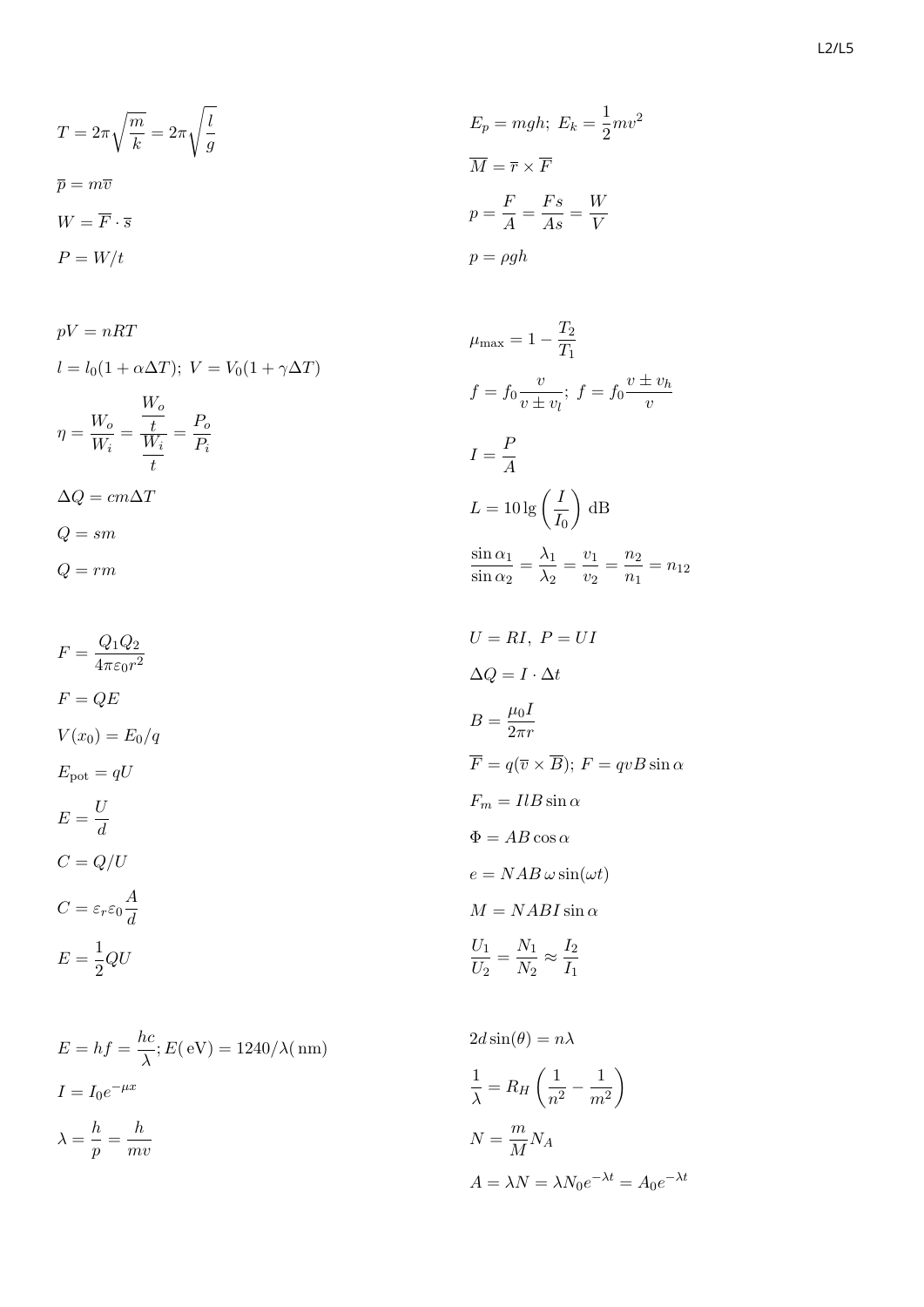$$
T = 2\pi \sqrt{\frac{m}{k}} = 2\pi \sqrt{\frac{l}{g}}
$$
  
\n
$$
\overline{p} = m\overline{v}
$$
  
\n
$$
W = \overline{F} \cdot \overline{s}
$$
  
\n
$$
P = W/t
$$
  
\n
$$
P = \rho gh
$$
  
\n
$$
p = \rho gh
$$

$$
pV = nRT
$$
  
\n
$$
l = l_0(1 + \alpha \Delta T); V = V_0(1 + \gamma \Delta T)
$$
  
\n
$$
\eta = \frac{W_o}{W_i} = \frac{\frac{W_o}{W_i}}{\frac{W_i}{t}} = \frac{P_o}{P_i}
$$
  
\n
$$
\Delta Q = cm\Delta T
$$
  
\n
$$
Q = sm
$$
  
\n
$$
Q = rm
$$

 $F = \frac{Q_1 Q_2}{4}$  $4\pi\varepsilon_0 r^2$  $F = QE$  $V(x_0) = E_0/q$  $E_{\text{pot}} = qU$  $E = \frac{U}{d}$  $C=Q/U$  $C = \varepsilon_r \varepsilon_0 \frac{A}{d}$  $E = \frac{1}{2}QU$  $\overline{U}$  $= RI, F$  $= *UI*$ ∆  $\pmb Q$ = I · ∆ t  $\overline{I}$ =  $\mu$  $\overline{0}$ I  $2\pi r$  $\overline{I}$ =  $\overline{q}$ (  $\overline{v}$ ×  $B);$ F F<sup>m</sup>  $= IlB \sin$ α  $\Phi = AB \cos$ α e  $= NAB \omega \sin(\omega t)$ M  $= NABI \sin$ α  $\overline{l}$ U2 =  $N_1$  $N_2$ ≈  $I_2$  $I_1$ 

$$
E = hf = \frac{hc}{\lambda}; E(eV) = 1240/\lambda(\text{nm})
$$
  
\n
$$
I = I_0 e^{-\mu x}
$$
  
\n
$$
\lambda = \frac{h}{p} = \frac{h}{mv}
$$
  
\n
$$
M = \frac{m}{M} N_A
$$
  
\n
$$
A = \lambda N = \lambda N_0 e^{-\lambda t} = A_0 e^{-\lambda t}
$$

$$
E_p = mgh; E_k = \frac{1}{2}mv^2
$$

$$
\overline{M} = \overline{r} \times \overline{F}
$$

$$
p = \frac{F}{A} = \frac{Fs}{As} = \frac{W}{V}
$$

$$
p = \rho gh
$$

$$
\mu_{\text{max}} = 1 - \frac{T_2}{T_1}
$$
  
\n
$$
f = f_0 \frac{v}{v \pm v_l}; \ f = f_0 \frac{v \pm v_h}{v}
$$
  
\n
$$
I = \frac{P}{A}
$$
  
\n
$$
L = 10 \lg \left(\frac{I}{I_0}\right) \, \text{dB}
$$
  
\n
$$
\frac{\sin \alpha_1}{\sin \alpha_2} = \frac{\lambda_1}{\lambda_2} = \frac{v_1}{v_2} = \frac{n_2}{n_1} = n_{12}
$$
  
\n
$$
U = RI, \ P = UI
$$
  
\n
$$
\Delta Q = I \cdot \Delta t
$$
  
\n
$$
B = \frac{\mu_0 I}{2\pi r}
$$
  
\n
$$
\overline{F} = q(\overline{v} \times \overline{B}); \ F = qvB \sin \alpha
$$
  
\n
$$
F_m = IlB \sin \alpha
$$
  
\n
$$
\Phi = AB \cos \alpha
$$
  
\n
$$
e = NAB \sin(\omega t)
$$
  
\n
$$
M = NAB I \sin \alpha
$$
  
\n
$$
\frac{U_1}{U_2} = \frac{N_1}{N_2} \approx \frac{I_2}{I_1}
$$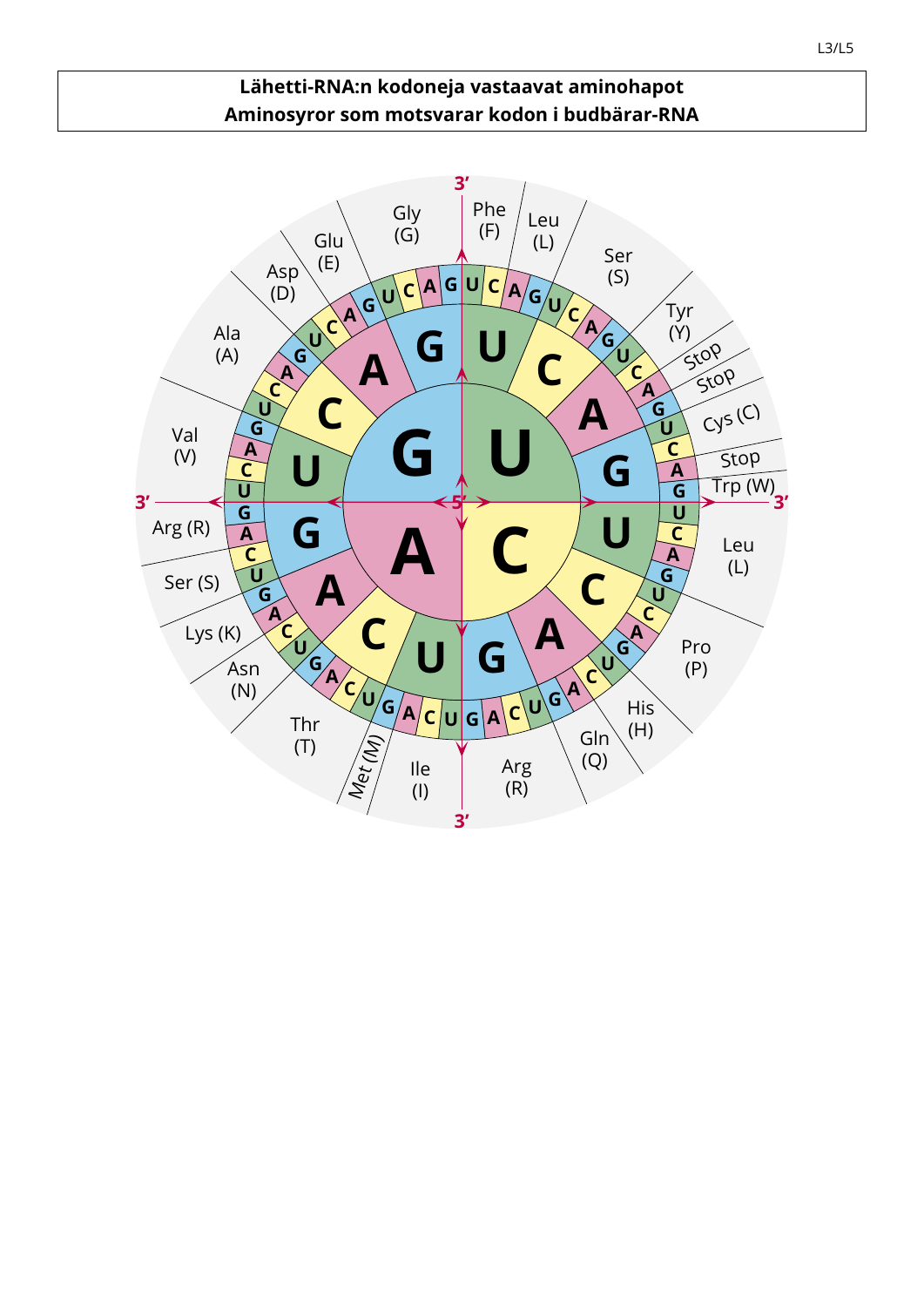#### **Lähetti-RNA:n kodoneja vastaavat aminohapot Aminosyror som motsvarar kodon i budbärar-RNA**

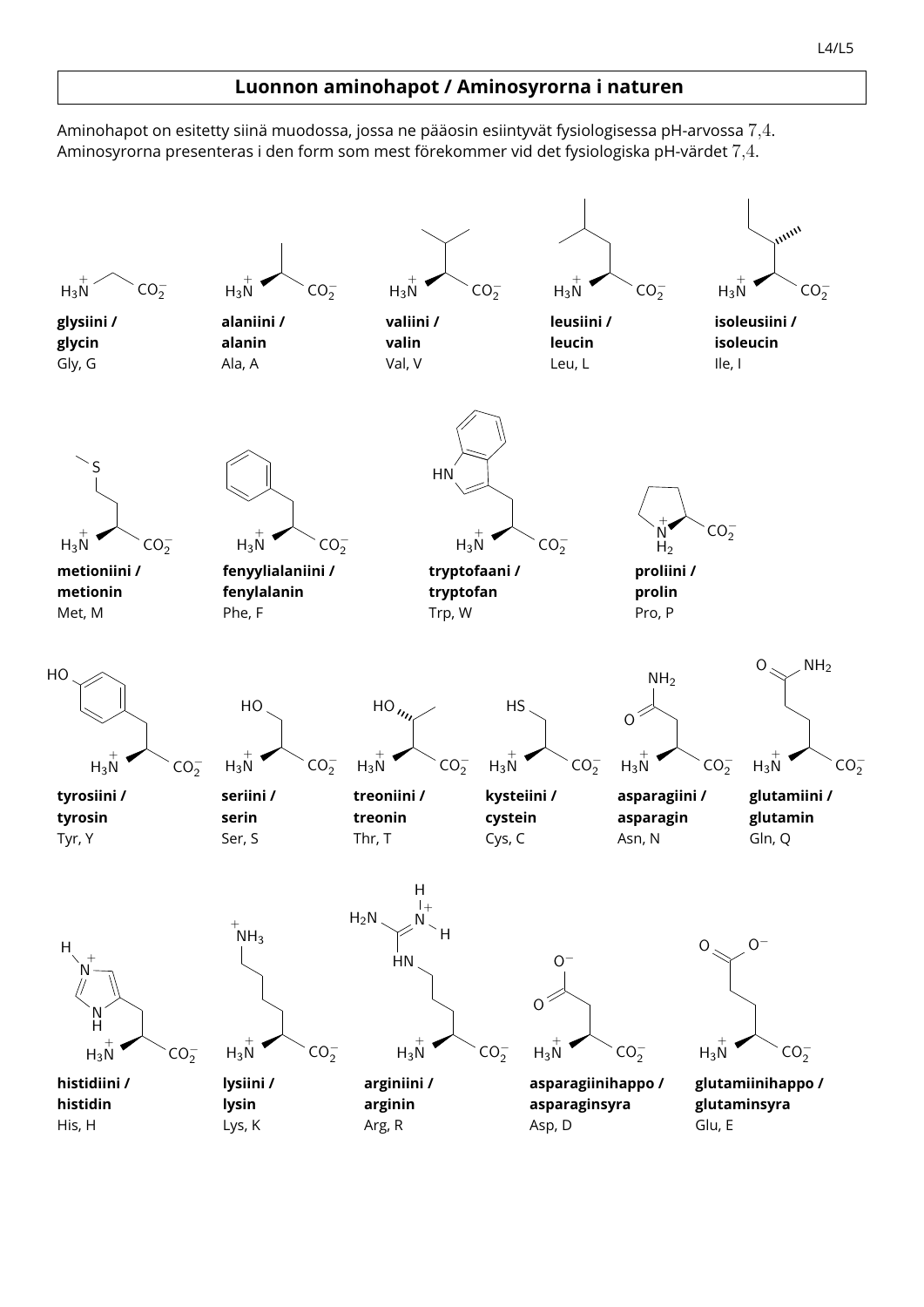#### **Luonnon aminohapot / Aminosyrorna i naturen**

Aminohapot on esitetty siinä muodossa, jossa ne pääosin esiintyvät fysiologisessa pH-arvossa 7,4. Aminosyrorna presenteras i den form som mest förekommer vid det fysiologiska pH-värdet 7,4.